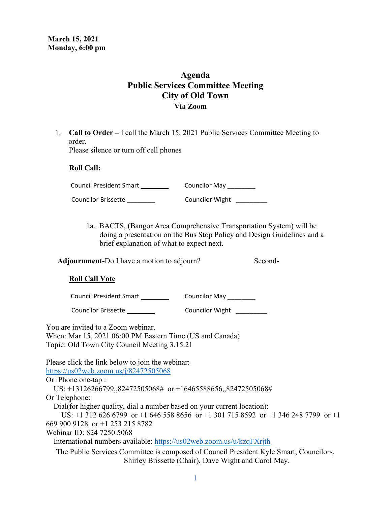## **Agenda Public Services Committee Meeting City of Old Town Via Zoom**

1. **Call to Order –** I call the March 15, 2021 Public Services Committee Meeting to order.

Please silence or turn off cell phones

### **Roll Call:**

Council President Smart \_\_\_\_\_\_\_\_\_\_ Councilor May \_\_\_\_\_\_\_\_

Councilor Brissette \_\_\_\_\_\_\_\_ Councilor Wight\_\_\_\_\_\_\_\_\_

 1a. BACTS, (Bangor Area Comprehensive Transportation System) will be doing a presentation on the Bus Stop Policy and Design Guidelines and a brief explanation of what to expect next.

Adjournment-Do I have a motion to adjourn? Second-

## **Roll Call Vote**

Council President Smart \_\_\_\_\_\_\_\_ Councilor May \_\_\_\_\_\_\_\_

Councilor Brissette \_\_\_\_\_\_\_\_ Councilor Wight\_\_\_\_\_\_\_\_\_

You are invited to a Zoom webinar.

When: Mar 15, 2021 06:00 PM Eastern Time (US and Canada) Topic: Old Town City Council Meeting 3.15.21

Please click the link below to join the webinar: <https://us02web.zoom.us/j/82472505068>

Or iPhone one-tap :

US: +13126266799,,82472505068# or +16465588656,,82472505068#

Or Telephone:

Dial(for higher quality, dial a number based on your current location):

 US: +1 312 626 6799 or +1 646 558 8656 or +1 301 715 8592 or +1 346 248 7799 or +1 669 900 9128 or +1 253 215 8782

Webinar ID: 824 7250 5068

International numbers available:<https://us02web.zoom.us/u/kzqFXrjth>

The Public Services Committee is composed of Council President Kyle Smart, Councilors, Shirley Brissette (Chair), Dave Wight and Carol May.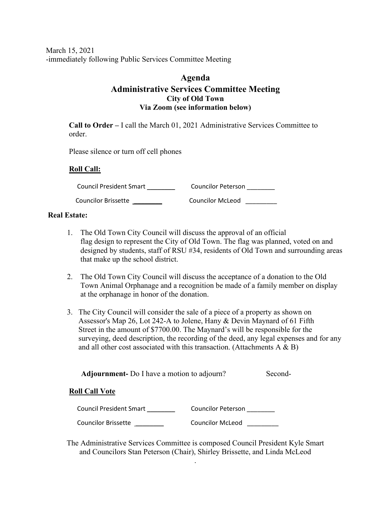March 15, 2021 -immediately following Public Services Committee Meeting

## **Agenda Administrative Services Committee Meeting City of Old Town Via Zoom (see information below)**

**Call to Order –** I call the March 01, 2021 Administrative Services Committee to order.

Please silence or turn off cell phones

## **Roll Call:**

Council President Smart \_\_\_\_\_\_\_\_\_\_\_\_\_ Councilor Peterson \_\_\_\_\_\_\_\_ Councilor Brissette \_\_\_\_\_\_\_\_ Councilor McLeod\_\_\_\_\_\_\_\_\_

### **Real Estate:**

- 1. The Old Town City Council will discuss the approval of an official flag design to represent the City of Old Town. The flag was planned, voted on and designed by students, staff of RSU #34, residents of Old Town and surrounding areas that make up the school district.
- 2. The Old Town City Council will discuss the acceptance of a donation to the Old Town Animal Orphanage and a recognition be made of a family member on display at the orphanage in honor of the donation.
- 3. The City Council will consider the sale of a piece of a property as shown on Assessor's Map 26, Lot 242-A to Jolene, Hany & Devin Maynard of 61 Fifth Street in the amount of \$7700.00. The Maynard's will be responsible for the surveying, deed description, the recording of the deed, any legal expenses and for any and all other cost associated with this transaction. (Attachments  $A \& B$ )

Adjournment- Do I have a motion to adjourn? Second-

## **Roll Call Vote**

| <b>Council President Smart</b> | Councilor Peterson      |
|--------------------------------|-------------------------|
| Councilor Brissette            | <b>Councilor McLeod</b> |

The Administrative Services Committee is composed Council President Kyle Smart and Councilors Stan Peterson (Chair), Shirley Brissette, and Linda McLeod

.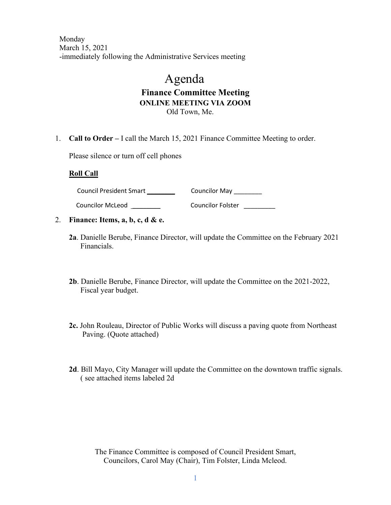Monday March 15, 2021 -immediately following the Administrative Services meeting

# Agenda **Finance Committee Meeting ONLINE MEETING VIA ZOOM** Old Town, Me.

1. **Call to Order –** I call the March 15, 2021 Finance Committee Meeting to order.

Please silence or turn off cell phones

#### **Roll Call**

Council President Smart \_\_\_\_\_\_\_\_\_\_\_\_\_\_\_\_\_\_ Councilor May \_\_\_\_\_\_\_\_\_\_

Councilor McLeod \_\_\_\_\_\_\_\_ Councilor Folster\_\_\_\_\_\_\_\_\_

- 2. **Finance: Items, a, b, c, d & e.** 
	- **2a**. Danielle Berube, Finance Director, will update the Committee on the February 2021 Financials.
	- **2b**. Danielle Berube, Finance Director, will update the Committee on the 2021-2022, Fiscal year budget.
	- **2c.** John Rouleau, Director of Public Works will discuss a paving quote from Northeast Paving. (Quote attached)
	- **2d**. Bill Mayo, City Manager will update the Committee on the downtown traffic signals. ( see attached items labeled 2d

The Finance Committee is composed of Council President Smart, Councilors, Carol May (Chair), Tim Folster, Linda Mcleod.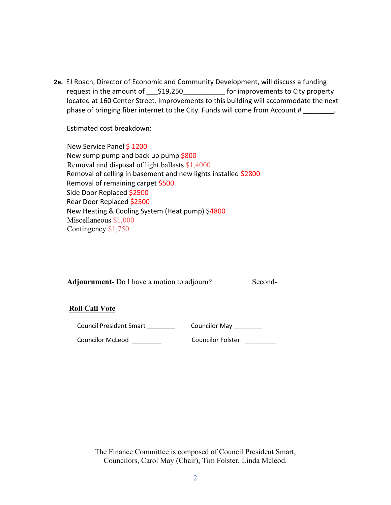**2e.** EJ Roach, Director of Economic and Community Development, will discuss a funding request in the amount of  $\qquad$  \$19,250  $\qquad$  for improvements to City property located at 160 Center Street. Improvements to this building will accommodate the next phase of bringing fiber internet to the City. Funds will come from Account #  $\blacksquare$ 

Estimated cost breakdown:

 New Service Panel \$ 1200 New sump pump and back up pump \$800 Removal and disposal of light ballasts \$1,4000 Removal of celling in basement and new lights installed \$2800 Removal of remaining carpet \$500 Side Door Replaced \$2500 Rear Door Replaced \$2500 New Heating & Cooling System (Heat pump) \$4800 Miscellaneous \$1,000 Contingency \$1,750

**Adjournment-** Do I have a motion to adjourn? Second-

## **Roll Call Vote**

Council President Smart \_\_\_\_\_\_\_\_\_\_\_\_\_ Councilor May \_\_\_\_\_\_\_\_

Councilor McLeod \_\_\_\_\_\_\_\_ Councilor Folster\_\_\_\_\_\_\_\_\_

The Finance Committee is composed of Council President Smart, Councilors, Carol May (Chair), Tim Folster, Linda Mcleod.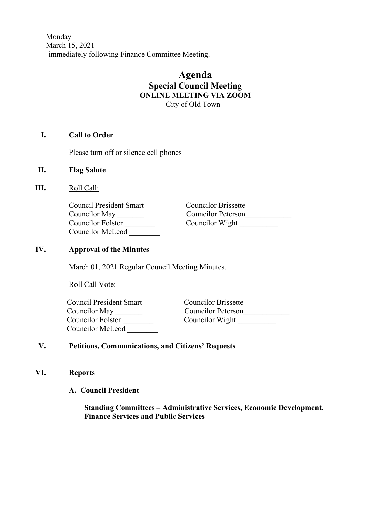Monday March 15, 2021 -immediately following Finance Committee Meeting.

## **Agenda Special Council Meeting ONLINE MEETING VIA ZOOM** City of Old Town

## **I. Call to Order**

Please turn off or silence cell phones

- **II. Flag Salute**
- **III.** Roll Call:

| Council President Smart |  |
|-------------------------|--|
| Councilor May           |  |
| Councilor Folster       |  |
| Councilor McLeod        |  |

 Council President Smart\_\_\_\_\_\_\_ Councilor Brissette\_\_\_\_\_\_\_\_\_ Councilor May \_\_\_\_\_\_\_ Councilor Peterson\_\_\_\_\_\_\_\_\_\_\_\_ Councilor Wight \_\_\_\_\_\_\_\_

## **IV. Approval of the Minutes**

March 01, 2021 Regular Council Meeting Minutes.

Roll Call Vote:

| Council President Smart | <b>Councilor Brissette</b> |
|-------------------------|----------------------------|
| Councilor May           | Councilor Peterson         |
| Councilor Folster       | Councilor Wight            |
| Councilor McLeod        |                            |

## **V. Petitions, Communications, and Citizens' Requests**

- **VI. Reports**
	- **A. Council President**

 **Standing Committees – Administrative Services, Economic Development, Finance Services and Public Services**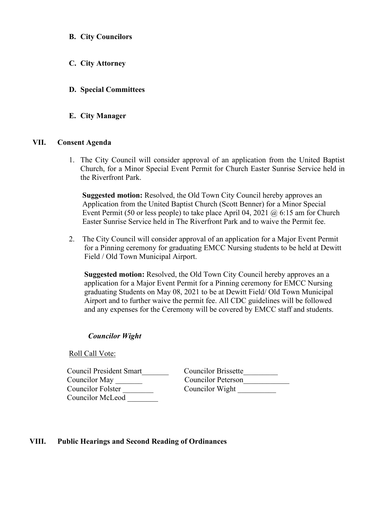- **B. City Councilors**
- **C. City Attorney**
- **D. Special Committees**
- **E. City Manager**

### **VII. Consent Agenda**

1. The City Council will consider approval of an application from the United Baptist Church, for a Minor Special Event Permit for Church Easter Sunrise Service held in the Riverfront Park.

 **Suggested motion:** Resolved, the Old Town City Council hereby approves an Application from the United Baptist Church (Scott Benner) for a Minor Special Event Permit (50 or less people) to take place April 04, 2021 @ 6:15 am for Church Easter Sunrise Service held in The Riverfront Park and to waive the Permit fee.

2. The City Council will consider approval of an application for a Major Event Permit for a Pinning ceremony for graduating EMCC Nursing students to be held at Dewitt Field / Old Town Municipal Airport.

 **Suggested motion:** Resolved, the Old Town City Council hereby approves an a application for a Major Event Permit for a Pinning ceremony for EMCC Nursing graduating Students on May 08, 2021 to be at Dewitt Field/ Old Town Municipal Airport and to further waive the permit fee. All CDC guidelines will be followed and any expenses for the Ceremony will be covered by EMCC staff and students.

#### *Councilor Wight*

Roll Call Vote:

Council President Smart<br>
Councilor Brissette<br>
Councilor Peterson Councilor Folster \_\_\_\_\_\_\_\_ Councilor Wight \_\_\_\_\_\_\_\_\_\_ Councilor McLeod \_\_\_\_\_\_\_\_

Councilor Peterson

## **VIII. Public Hearings and Second Reading of Ordinances**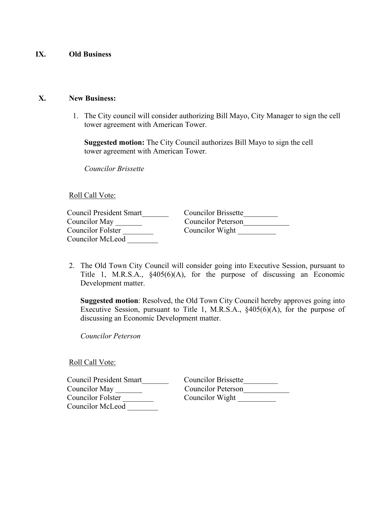## **IX. Old Business**

### **X. New Business:**

1. The City council will consider authorizing Bill Mayo, City Manager to sign the cell tower agreement with American Tower.

 **Suggested motion:** The City Council authorizes Bill Mayo to sign the cell tower agreement with American Tower.

*Councilor Brissette*

## Roll Call Vote:

| Council President Smart | <b>Councilor Brissette</b> |
|-------------------------|----------------------------|
| Councilor May           | Councilor Peterson         |
| Councilor Folster       | Councilor Wight            |
| Councilor McLeod        |                            |

2. The Old Town City Council will consider going into Executive Session, pursuant to Title 1, M.R.S.A., §405(6)(A), for the purpose of discussing an Economic Development matter.

**Suggested motion**: Resolved, the Old Town City Council hereby approves going into Executive Session, pursuant to Title 1, M.R.S.A., §405(6)(A), for the purpose of discussing an Economic Development matter.

*Councilor Peterson*

Roll Call Vote:

| Council President Smart | <b>Councilor Brissette</b> |
|-------------------------|----------------------------|
| Councilor May           | Councilor Peterson         |
| Councilor Folster       | Councilor Wight            |
| Councilor McLeod        |                            |